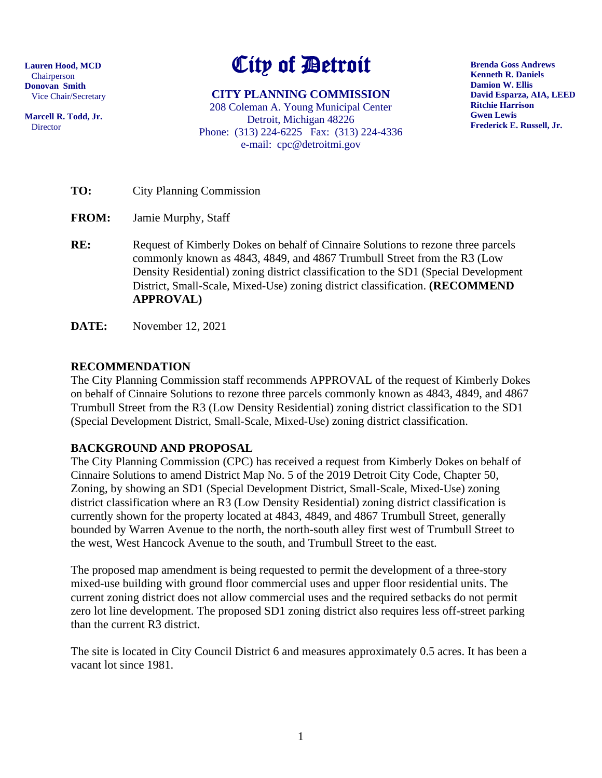**Lauren Hood, MCD** Chairperson **Donovan Smith** Vice Chair/Secretary

**Marcell R. Todd, Jr.** Director

# City of Detroit

**CITY PLANNING COMMISSION** 208 Coleman A. Young Municipal Center Detroit, Michigan 48226 Phone: (313) 224-6225 Fax: (313) 224-4336 e-mail: cpc@detroitmi.gov

**Brenda Goss Andrews Kenneth R. Daniels Damion W. Ellis David Esparza, AIA, LEED Ritchie Harrison Gwen Lewis Frederick E. Russell, Jr.**

**TO:** City Planning Commission

**FROM:** Jamie Murphy, Staff

**RE:** Request of Kimberly Dokes on behalf of Cinnaire Solutions to rezone three parcels commonly known as 4843, 4849, and 4867 Trumbull Street from the R3 (Low Density Residential) zoning district classification to the SD1 (Special Development District, Small-Scale, Mixed-Use) zoning district classification. **(RECOMMEND APPROVAL)**

**DATE:** November 12, 2021

## **RECOMMENDATION**

The City Planning Commission staff recommends APPROVAL of the request of Kimberly Dokes on behalf of Cinnaire Solutions to rezone three parcels commonly known as 4843, 4849, and 4867 Trumbull Street from the R3 (Low Density Residential) zoning district classification to the SD1 (Special Development District, Small-Scale, Mixed-Use) zoning district classification.

# **BACKGROUND AND PROPOSAL**

The City Planning Commission (CPC) has received a request from Kimberly Dokes on behalf of Cinnaire Solutions to amend District Map No. 5 of the 2019 Detroit City Code, Chapter 50, Zoning, by showing an SD1 (Special Development District, Small-Scale, Mixed-Use) zoning district classification where an R3 (Low Density Residential) zoning district classification is currently shown for the property located at 4843, 4849, and 4867 Trumbull Street, generally bounded by Warren Avenue to the north, the north-south alley first west of Trumbull Street to the west, West Hancock Avenue to the south, and Trumbull Street to the east.

The proposed map amendment is being requested to permit the development of a three-story mixed-use building with ground floor commercial uses and upper floor residential units. The current zoning district does not allow commercial uses and the required setbacks do not permit zero lot line development. The proposed SD1 zoning district also requires less off-street parking than the current R3 district.

The site is located in City Council District 6 and measures approximately 0.5 acres. It has been a vacant lot since 1981.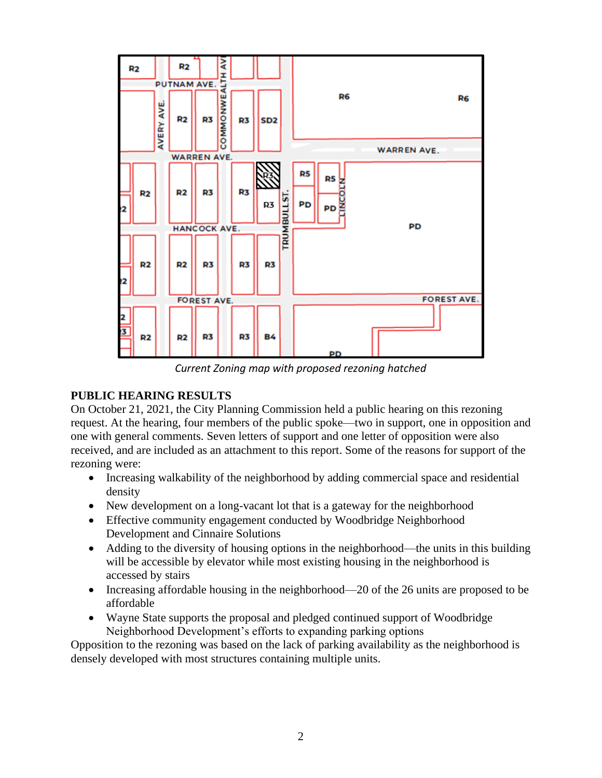

*Current Zoning map with proposed rezoning hatched*

## **PUBLIC HEARING RESULTS**

On October 21, 2021, the City Planning Commission held a public hearing on this rezoning request. At the hearing, four members of the public spoke—two in support, one in opposition and one with general comments. Seven letters of support and one letter of opposition were also received, and are included as an attachment to this report. Some of the reasons for support of the rezoning were:

- Increasing walkability of the neighborhood by adding commercial space and residential density
- New development on a long-vacant lot that is a gateway for the neighborhood
- Effective community engagement conducted by Woodbridge Neighborhood Development and Cinnaire Solutions
- Adding to the diversity of housing options in the neighborhood—the units in this building will be accessible by elevator while most existing housing in the neighborhood is accessed by stairs
- Increasing affordable housing in the neighborhood—20 of the 26 units are proposed to be affordable
- Wayne State supports the proposal and pledged continued support of Woodbridge Neighborhood Development's efforts to expanding parking options

Opposition to the rezoning was based on the lack of parking availability as the neighborhood is densely developed with most structures containing multiple units.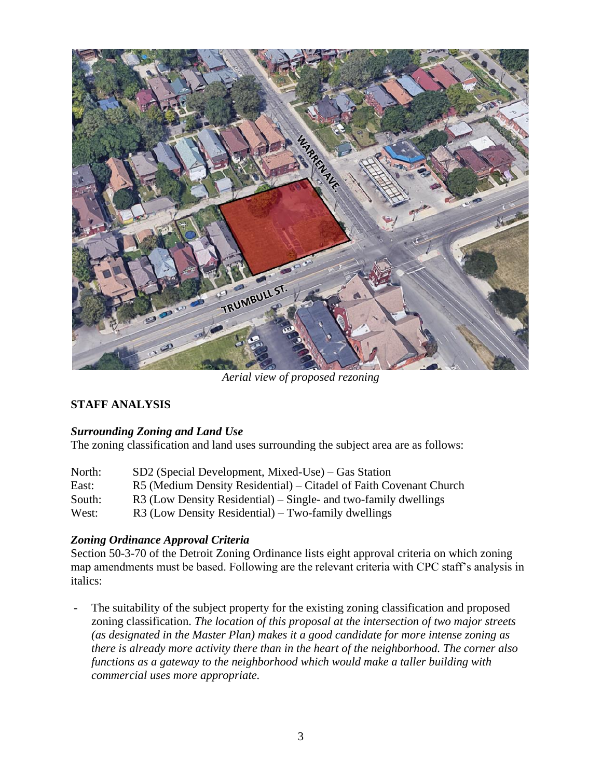

*Aerial view of proposed rezoning*

## **STAFF ANALYSIS**

## *Surrounding Zoning and Land Use*

The zoning classification and land uses surrounding the subject area are as follows:

| North: | $SD2$ (Special Development, Mixed-Use) – Gas Station               |
|--------|--------------------------------------------------------------------|
| East:  | R5 (Medium Density Residential) – Citadel of Faith Covenant Church |
| South: | $R3$ (Low Density Residential) – Single- and two-family dwellings  |
| West:  | $R3$ (Low Density Residential) – Two-family dwellings              |

## *Zoning Ordinance Approval Criteria*

Section 50-3-70 of the Detroit Zoning Ordinance lists eight approval criteria on which zoning map amendments must be based. Following are the relevant criteria with CPC staff's analysis in italics:

- The suitability of the subject property for the existing zoning classification and proposed zoning classification. *The location of this proposal at the intersection of two major streets (as designated in the Master Plan) makes it a good candidate for more intense zoning as there is already more activity there than in the heart of the neighborhood. The corner also functions as a gateway to the neighborhood which would make a taller building with commercial uses more appropriate.*